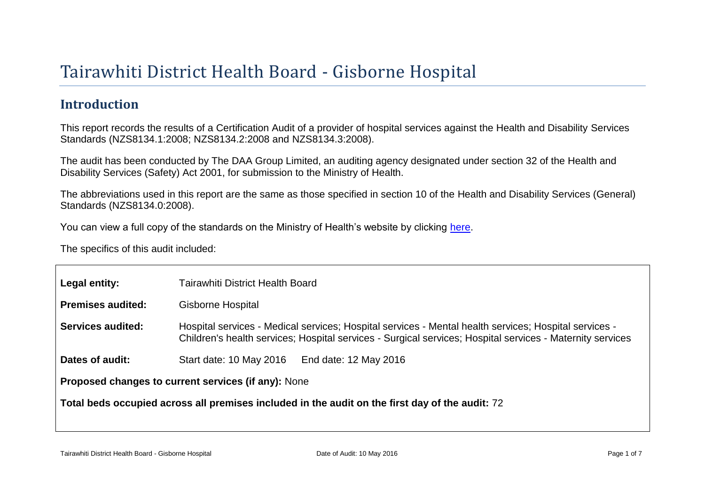# Tairawhiti District Health Board - Gisborne Hospital

# **Introduction**

This report records the results of a Certification Audit of a provider of hospital services against the Health and Disability Services Standards (NZS8134.1:2008; NZS8134.2:2008 and NZS8134.3:2008).

The audit has been conducted by The DAA Group Limited, an auditing agency designated under section 32 of the Health and Disability Services (Safety) Act 2001, for submission to the Ministry of Health.

The abbreviations used in this report are the same as those specified in section 10 of the Health and Disability Services (General) Standards (NZS8134.0:2008).

You can view a full copy of the standards on the Ministry of Health's website by clicking [here.](http://www.health.govt.nz/our-work/regulation-health-and-disability-system/certification-health-care-services/health-and-disability-services-standards)

The specifics of this audit included:

| Legal entity:                                                                                   | Tairawhiti District Health Board                                                                                                                                                                                   |
|-------------------------------------------------------------------------------------------------|--------------------------------------------------------------------------------------------------------------------------------------------------------------------------------------------------------------------|
| <b>Premises audited:</b>                                                                        | <b>Gisborne Hospital</b>                                                                                                                                                                                           |
| Services audited:                                                                               | Hospital services - Medical services; Hospital services - Mental health services; Hospital services -<br>Children's health services; Hospital services - Surgical services; Hospital services - Maternity services |
| Dates of audit:                                                                                 | Start date: 10 May 2016<br>End date: 12 May 2016                                                                                                                                                                   |
| Proposed changes to current services (if any): None                                             |                                                                                                                                                                                                                    |
| Total beds occupied across all premises included in the audit on the first day of the audit: 72 |                                                                                                                                                                                                                    |
|                                                                                                 |                                                                                                                                                                                                                    |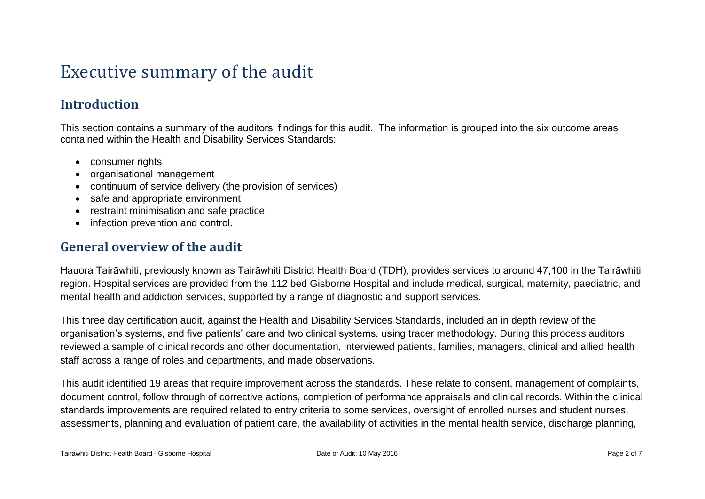# **Introduction**

This section contains a summary of the auditors' findings for this audit. The information is grouped into the six outcome areas contained within the Health and Disability Services Standards:

- consumer rights
- organisational management
- continuum of service delivery (the provision of services)
- safe and appropriate environment
- restraint minimisation and safe practice
- infection prevention and control.

### **General overview of the audit**

Hauora Tairāwhiti, previously known as Tairāwhiti District Health Board (TDH), provides services to around 47,100 in the Tairāwhiti region. Hospital services are provided from the 112 bed Gisborne Hospital and include medical, surgical, maternity, paediatric, and mental health and addiction services, supported by a range of diagnostic and support services.

This three day certification audit, against the Health and Disability Services Standards, included an in depth review of the organisation's systems, and five patients' care and two clinical systems, using tracer methodology. During this process auditors reviewed a sample of clinical records and other documentation, interviewed patients, families, managers, clinical and allied health staff across a range of roles and departments, and made observations.

This audit identified 19 areas that require improvement across the standards. These relate to consent, management of complaints, document control, follow through of corrective actions, completion of performance appraisals and clinical records. Within the clinical standards improvements are required related to entry criteria to some services, oversight of enrolled nurses and student nurses, assessments, planning and evaluation of patient care, the availability of activities in the mental health service, discharge planning,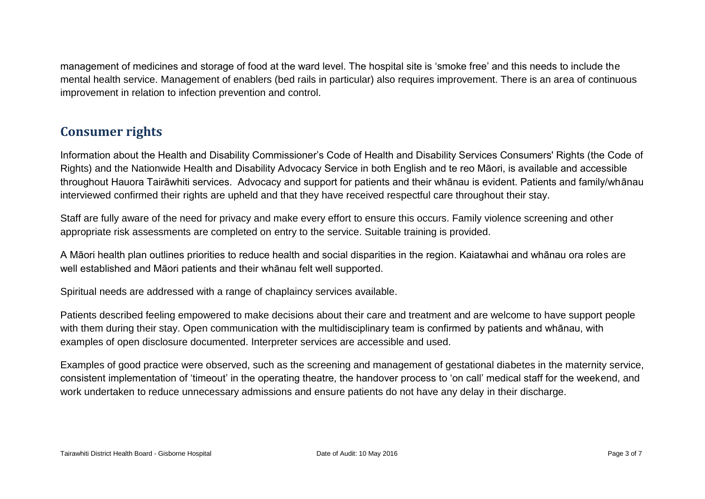management of medicines and storage of food at the ward level. The hospital site is 'smoke free' and this needs to include the mental health service. Management of enablers (bed rails in particular) also requires improvement. There is an area of continuous improvement in relation to infection prevention and control.

## **Consumer rights**

Information about the Health and Disability Commissioner's Code of Health and Disability Services Consumers' Rights (the Code of Rights) and the Nationwide Health and Disability Advocacy Service in both English and te reo Māori, is available and accessible throughout Hauora Tairāwhiti services. Advocacy and support for patients and their whānau is evident. Patients and family/whānau interviewed confirmed their rights are upheld and that they have received respectful care throughout their stay.

Staff are fully aware of the need for privacy and make every effort to ensure this occurs. Family violence screening and other appropriate risk assessments are completed on entry to the service. Suitable training is provided.

A Māori health plan outlines priorities to reduce health and social disparities in the region. Kaiatawhai and whānau ora roles are well established and Māori patients and their whānau felt well supported.

Spiritual needs are addressed with a range of chaplaincy services available.

Patients described feeling empowered to make decisions about their care and treatment and are welcome to have support people with them during their stay. Open communication with the multidisciplinary team is confirmed by patients and whānau, with examples of open disclosure documented. Interpreter services are accessible and used.

Examples of good practice were observed, such as the screening and management of gestational diabetes in the maternity service, consistent implementation of 'timeout' in the operating theatre, the handover process to 'on call' medical staff for the weekend, and work undertaken to reduce unnecessary admissions and ensure patients do not have any delay in their discharge.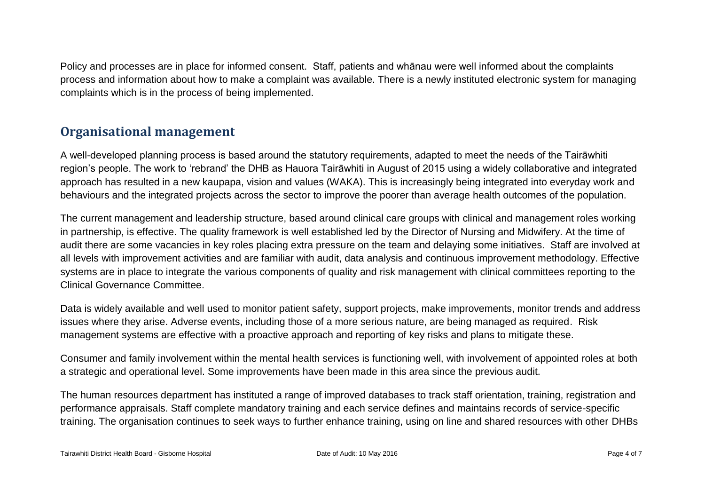Policy and processes are in place for informed consent. Staff, patients and whānau were well informed about the complaints process and information about how to make a complaint was available. There is a newly instituted electronic system for managing complaints which is in the process of being implemented.

## **Organisational management**

A well-developed planning process is based around the statutory requirements, adapted to meet the needs of the Tairāwhiti region's people. The work to 'rebrand' the DHB as Hauora Tairāwhiti in August of 2015 using a widely collaborative and integrated approach has resulted in a new kaupapa, vision and values (WAKA). This is increasingly being integrated into everyday work and behaviours and the integrated projects across the sector to improve the poorer than average health outcomes of the population.

The current management and leadership structure, based around clinical care groups with clinical and management roles working in partnership, is effective. The quality framework is well established led by the Director of Nursing and Midwifery. At the time of audit there are some vacancies in key roles placing extra pressure on the team and delaying some initiatives. Staff are involved at all levels with improvement activities and are familiar with audit, data analysis and continuous improvement methodology. Effective systems are in place to integrate the various components of quality and risk management with clinical committees reporting to the Clinical Governance Committee.

Data is widely available and well used to monitor patient safety, support projects, make improvements, monitor trends and address issues where they arise. Adverse events, including those of a more serious nature, are being managed as required. Risk management systems are effective with a proactive approach and reporting of key risks and plans to mitigate these.

Consumer and family involvement within the mental health services is functioning well, with involvement of appointed roles at both a strategic and operational level. Some improvements have been made in this area since the previous audit.

The human resources department has instituted a range of improved databases to track staff orientation, training, registration and performance appraisals. Staff complete mandatory training and each service defines and maintains records of service-specific training. The organisation continues to seek ways to further enhance training, using on line and shared resources with other DHBs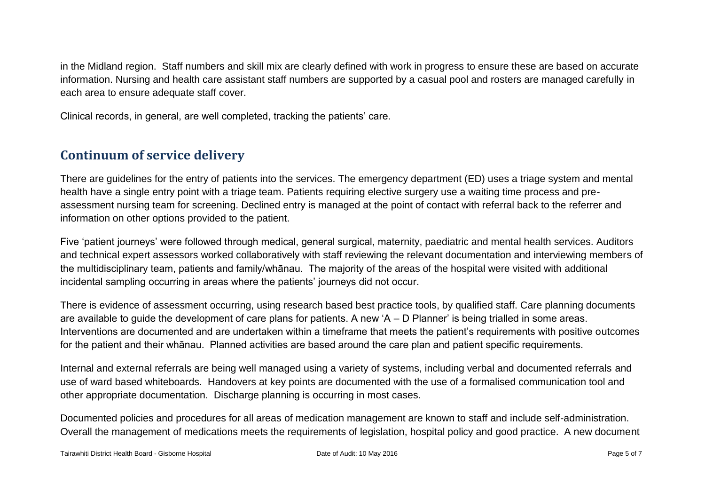in the Midland region. Staff numbers and skill mix are clearly defined with work in progress to ensure these are based on accurate information. Nursing and health care assistant staff numbers are supported by a casual pool and rosters are managed carefully in each area to ensure adequate staff cover.

Clinical records, in general, are well completed, tracking the patients' care.

## **Continuum of service delivery**

There are guidelines for the entry of patients into the services. The emergency department (ED) uses a triage system and mental health have a single entry point with a triage team. Patients requiring elective surgery use a waiting time process and preassessment nursing team for screening. Declined entry is managed at the point of contact with referral back to the referrer and information on other options provided to the patient.

Five 'patient journeys' were followed through medical, general surgical, maternity, paediatric and mental health services. Auditors and technical expert assessors worked collaboratively with staff reviewing the relevant documentation and interviewing members of the multidisciplinary team, patients and family/whānau. The majority of the areas of the hospital were visited with additional incidental sampling occurring in areas where the patients' journeys did not occur.

There is evidence of assessment occurring, using research based best practice tools, by qualified staff. Care planning documents are available to guide the development of care plans for patients. A new 'A – D Planner' is being trialled in some areas. Interventions are documented and are undertaken within a timeframe that meets the patient's requirements with positive outcomes for the patient and their whānau. Planned activities are based around the care plan and patient specific requirements.

Internal and external referrals are being well managed using a variety of systems, including verbal and documented referrals and use of ward based whiteboards. Handovers at key points are documented with the use of a formalised communication tool and other appropriate documentation. Discharge planning is occurring in most cases.

Documented policies and procedures for all areas of medication management are known to staff and include self-administration. Overall the management of medications meets the requirements of legislation, hospital policy and good practice. A new document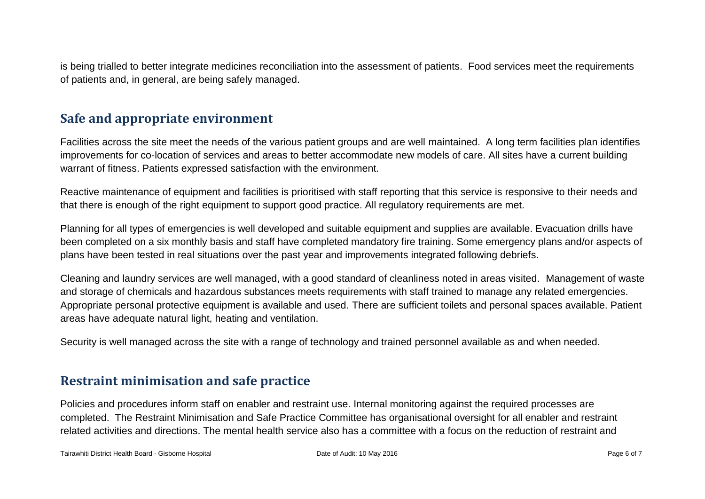is being trialled to better integrate medicines reconciliation into the assessment of patients. Food services meet the requirements of patients and, in general, are being safely managed.

#### **Safe and appropriate environment**

Facilities across the site meet the needs of the various patient groups and are well maintained. A long term facilities plan identifies improvements for co-location of services and areas to better accommodate new models of care. All sites have a current building warrant of fitness. Patients expressed satisfaction with the environment.

Reactive maintenance of equipment and facilities is prioritised with staff reporting that this service is responsive to their needs and that there is enough of the right equipment to support good practice. All regulatory requirements are met.

Planning for all types of emergencies is well developed and suitable equipment and supplies are available. Evacuation drills have been completed on a six monthly basis and staff have completed mandatory fire training. Some emergency plans and/or aspects of plans have been tested in real situations over the past year and improvements integrated following debriefs.

Cleaning and laundry services are well managed, with a good standard of cleanliness noted in areas visited. Management of waste and storage of chemicals and hazardous substances meets requirements with staff trained to manage any related emergencies. Appropriate personal protective equipment is available and used. There are sufficient toilets and personal spaces available. Patient areas have adequate natural light, heating and ventilation.

Security is well managed across the site with a range of technology and trained personnel available as and when needed.

### **Restraint minimisation and safe practice**

Policies and procedures inform staff on enabler and restraint use. Internal monitoring against the required processes are completed. The Restraint Minimisation and Safe Practice Committee has organisational oversight for all enabler and restraint related activities and directions. The mental health service also has a committee with a focus on the reduction of restraint and